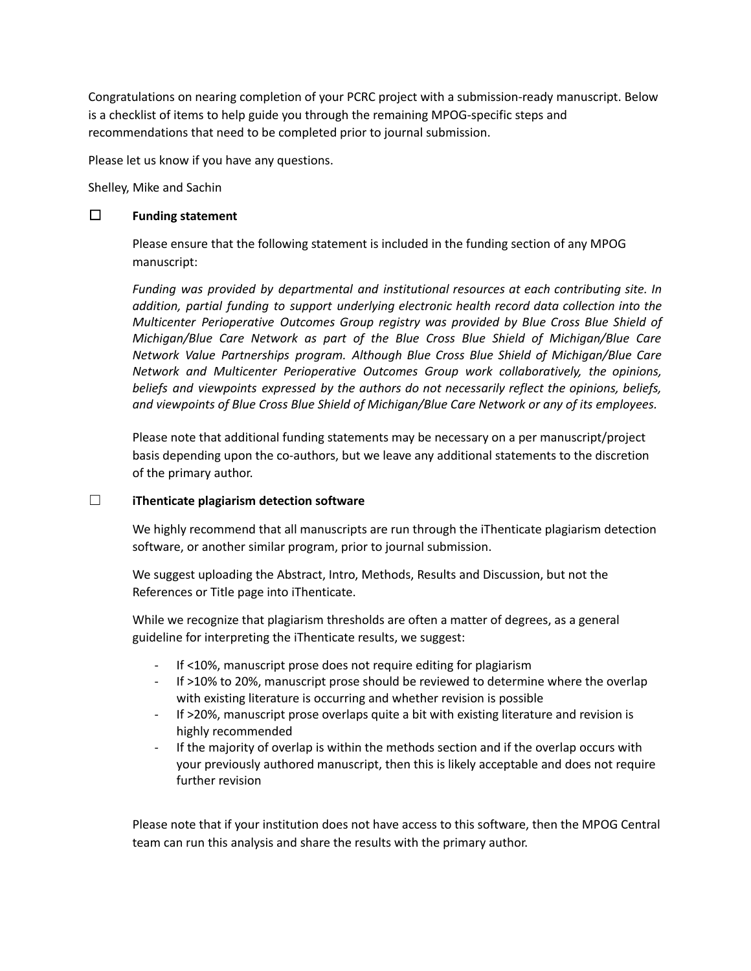Congratulations on nearing completion of your PCRC project with a submission-ready manuscript. Below is a checklist of items to help guide you through the remaining MPOG-specific steps and recommendations that need to be completed prior to journal submission.

Please let us know if you have any questions.

Shelley, Mike and Sachin

### ☐ **Funding statement**

Please ensure that the following statement is included in the funding section of any MPOG manuscript:

*Funding was provided by departmental and institutional resources at each contributing site. In addition, partial funding to support underlying electronic health record data collection into the Multicenter Perioperative Outcomes Group registry was provided by Blue Cross Blue Shield of Michigan/Blue Care Network as part of the Blue Cross Blue Shield of Michigan/Blue Care Network Value Partnerships program. Although Blue Cross Blue Shield of Michigan/Blue Care Network and Multicenter Perioperative Outcomes Group work collaboratively, the opinions, beliefs and viewpoints expressed by the authors do not necessarily reflect the opinions, beliefs, and viewpoints of Blue Cross Blue Shield of Michigan/Blue Care Network or any of its employees.*

Please note that additional funding statements may be necessary on a per manuscript/project basis depending upon the co-authors, but we leave any additional statements to the discretion of the primary author.

#### ☐ **iThenticate plagiarism detection software**

We highly recommend that all manuscripts are run through the iThenticate plagiarism detection software, or another similar program, prior to journal submission.

We suggest uploading the Abstract, Intro, Methods, Results and Discussion, but not the References or Title page into iThenticate.

While we recognize that plagiarism thresholds are often a matter of degrees, as a general guideline for interpreting the iThenticate results, we suggest:

- If <10%, manuscript prose does not require editing for plagiarism
- If >10% to 20%, manuscript prose should be reviewed to determine where the overlap with existing literature is occurring and whether revision is possible
- If >20%, manuscript prose overlaps quite a bit with existing literature and revision is highly recommended
- If the majority of overlap is within the methods section and if the overlap occurs with your previously authored manuscript, then this is likely acceptable and does not require further revision

Please note that if your institution does not have access to this software, then the MPOG Central team can run this analysis and share the results with the primary author.